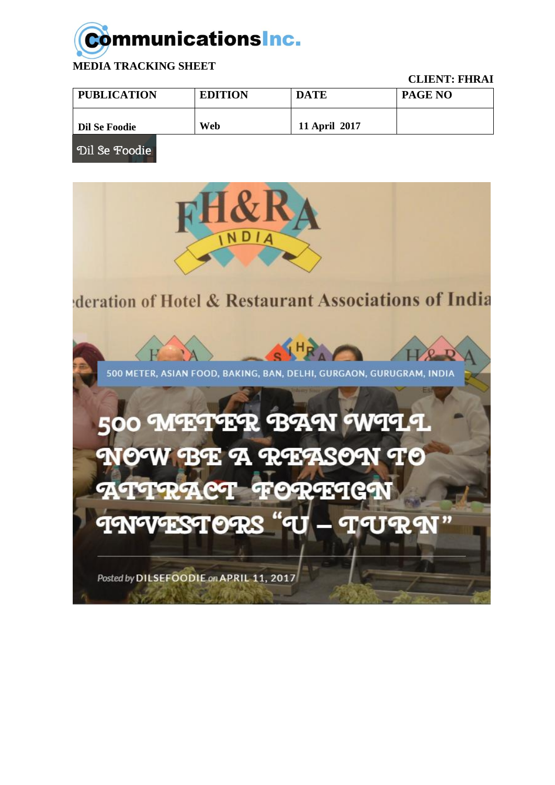## **Communications Inc.**

**MEDIA TRACKING SHEET** 

**CLIENT: FHRAI** 

| <b>PUBLICATION</b> | <b>EDITION</b> | <b>DATE</b>   | <b>PAGE NO</b> |
|--------------------|----------------|---------------|----------------|
| Dil Se Foodie      | Web            | 11 April 2017 |                |

Dil Se Foodie

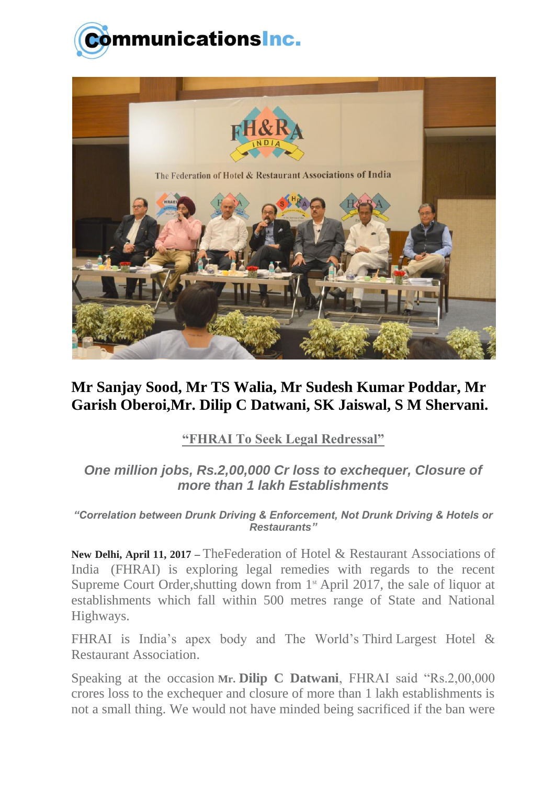



## **Mr Sanjay Sood, Mr TS Walia, Mr Sudesh Kumar Poddar, Mr Garish Oberoi,Mr. Dilip C Datwani, SK Jaiswal, S M Shervani.**

## **"FHRAI To Seek Legal Redressal"**

## *One million jobs, Rs.2,00,000 Cr loss to exchequer, Closure of more than 1 lakh Establishments*

*"Correlation between Drunk Driving & Enforcement, Not Drunk Driving & Hotels or Restaurants"*

**New Delhi, April 11, 2017 –** TheFederation of Hotel & Restaurant Associations of India (FHRAI) is exploring legal remedies with regards to the recent Supreme Court Order, shutting down from  $1<sup>st</sup>$  April 2017, the sale of liquor at establishments which fall within 500 metres range of State and National Highways.

FHRAI is India's apex body and The World's Third Largest Hotel & Restaurant Association.

Speaking at the occasion **Mr. Dilip C Datwani**, FHRAI said "Rs.2,00,000 crores loss to the exchequer and closure of more than 1 lakh establishments is not a small thing. We would not have minded being sacrificed if the ban were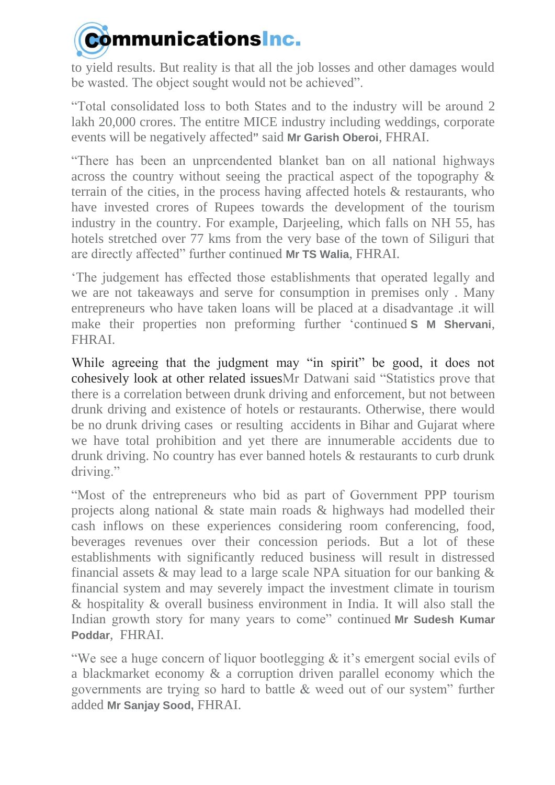

to yield results. But reality is that all the job losses and other damages would be wasted. The object sought would not be achieved".

"Total consolidated loss to both States and to the industry will be around 2 lakh 20,000 crores. The entitre MICE industry including weddings, corporate events will be negatively affected**"** said **Mr Garish Oberoi**, FHRAI.

"There has been an unprcendented blanket ban on all national highways across the country without seeing the practical aspect of the topography & terrain of the cities, in the process having affected hotels & restaurants, who have invested crores of Rupees towards the development of the tourism industry in the country. For example, Darjeeling, which falls on NH 55, has hotels stretched over 77 kms from the very base of the town of Siliguri that are directly affected" further continued **Mr TS Walia**, FHRAI.

'The judgement has effected those establishments that operated legally and we are not takeaways and serve for consumption in premises only . Many entrepreneurs who have taken loans will be placed at a disadvantage .it will make their properties non preforming further 'continued **S M Shervani**, FHRAI.

While agreeing that the judgment may "in spirit" be good, it does not cohesively look at other related issuesMr Datwani said "Statistics prove that there is a correlation between drunk driving and enforcement, but not between drunk driving and existence of hotels or restaurants. Otherwise, there would be no drunk driving cases or resulting accidents in Bihar and Gujarat where we have total prohibition and yet there are innumerable accidents due to drunk driving. No country has ever banned hotels & restaurants to curb drunk driving."

"Most of the entrepreneurs who bid as part of Government PPP tourism projects along national & state main roads & highways had modelled their cash inflows on these experiences considering room conferencing, food, beverages revenues over their concession periods. But a lot of these establishments with significantly reduced business will result in distressed financial assets & may lead to a large scale NPA situation for our banking & financial system and may severely impact the investment climate in tourism & hospitality & overall business environment in India. It will also stall the Indian growth story for many years to come" continued **Mr Sudesh Kumar Poddar**, FHRAI.

"We see a huge concern of liquor bootlegging & it's emergent social evils of a blackmarket economy & a corruption driven parallel economy which the governments are trying so hard to battle & weed out of our system" further added **Mr Sanjay Sood,** FHRAI.